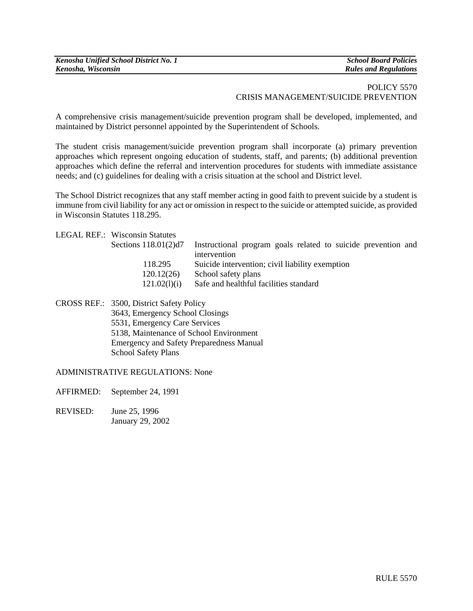| Kenosha Unified School District No. 1 | <b>School Board Policies</b> |
|---------------------------------------|------------------------------|
| Kenosha, Wisconsin                    | <b>Rules and Regulations</b> |

## POLICY 5570 CRISIS MANAGEMENT/SUICIDE PREVENTION

A comprehensive crisis management/suicide prevention program shall be developed, implemented, and maintained by District personnel appointed by the Superintendent of Schools.

The student crisis management/suicide prevention program shall incorporate (a) primary prevention approaches which represent ongoing education of students, staff, and parents; (b) additional prevention approaches which define the referral and intervention procedures for students with immediate assistance needs; and (c) guidelines for dealing with a crisis situation at the school and District level.

The School District recognizes that any staff member acting in good faith to prevent suicide by a student is immune from civil liability for any act or omission in respect to the suicide or attempted suicide, as provided in Wisconsin Statutes 118.295.

|  | <b>LEGAL REF.: Wisconsin Statutes</b> |                                                               |
|--|---------------------------------------|---------------------------------------------------------------|
|  | Sections $118.01(2)d7$                | Instructional program goals related to suicide prevention and |
|  |                                       | intervention                                                  |
|  | 118.295                               | Suicide intervention; civil liability exemption               |
|  | 120.12(26)                            | School safety plans                                           |
|  | 121.02(l)(i)                          | Safe and healthful facilities standard                        |
|  |                                       |                                                               |

CROSS REF.: 3500, District Safety Policy 3643, Emergency School Closings 5531, Emergency Care Services 5138, Maintenance of School Environment Emergency and Safety Preparedness Manual School Safety Plans

ADMINISTRATIVE REGULATIONS: None

AFFIRMED: September 24, 1991

REVISED: June 25, 1996 January 29, 2002